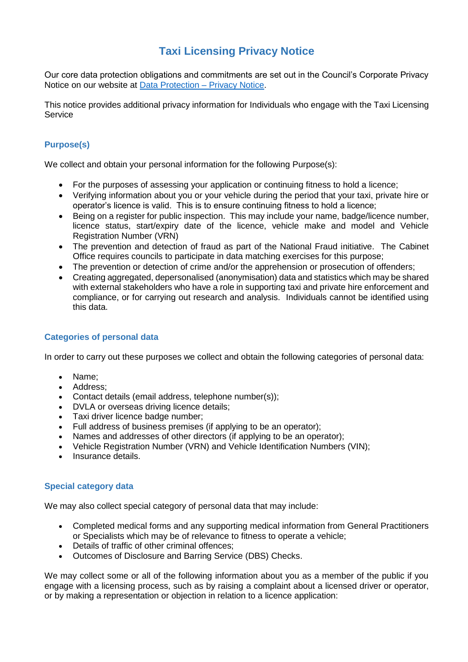# **Taxi Licensing Privacy Notice**

Our core data protection obligations and commitments are set out in the Council's Corporate Privacy Notice on our website at [Data Protection –](https://www.tameside.gov.uk/dataprotection/PrivacyNotice) Privacy Notice.

This notice provides additional privacy information for Individuals who engage with the Taxi Licensing **Service** 

# **Purpose(s)**

We collect and obtain your personal information for the following Purpose(s):

- For the purposes of assessing your application or continuing fitness to hold a licence;
- Verifying information about you or your vehicle during the period that your taxi, private hire or operator's licence is valid. This is to ensure continuing fitness to hold a licence;
- Being on a register for public inspection. This may include your name, badge/licence number, licence status, start/expiry date of the licence, vehicle make and model and Vehicle Registration Number (VRN)
- The prevention and detection of fraud as part of the National Fraud initiative. The Cabinet Office requires councils to participate in data matching exercises for this purpose;
- The prevention or detection of crime and/or the apprehension or prosecution of offenders;
- Creating aggregated, depersonalised (anonymisation) data and statistics which may be shared with external stakeholders who have a role in supporting taxi and private hire enforcement and compliance, or for carrying out research and analysis. Individuals cannot be identified using this data.

# **Categories of personal data**

In order to carry out these purposes we collect and obtain the following categories of personal data:

- Name;
- Address;
- Contact details (email address, telephone number(s));
- DVLA or overseas driving licence details;
- Taxi driver licence badge number;
- Full address of business premises (if applying to be an operator);
- Names and addresses of other directors (if applying to be an operator):
- Vehicle Registration Number (VRN) and Vehicle Identification Numbers (VIN);
- Insurance details.

## **Special category data**

We may also collect special category of personal data that may include:

- Completed medical forms and any supporting medical information from General Practitioners or Specialists which may be of relevance to fitness to operate a vehicle;
- Details of traffic of other criminal offences;
- Outcomes of Disclosure and Barring Service (DBS) Checks.

We may collect some or all of the following information about you as a member of the public if you engage with a licensing process, such as by raising a complaint about a licensed driver or operator, or by making a representation or objection in relation to a licence application: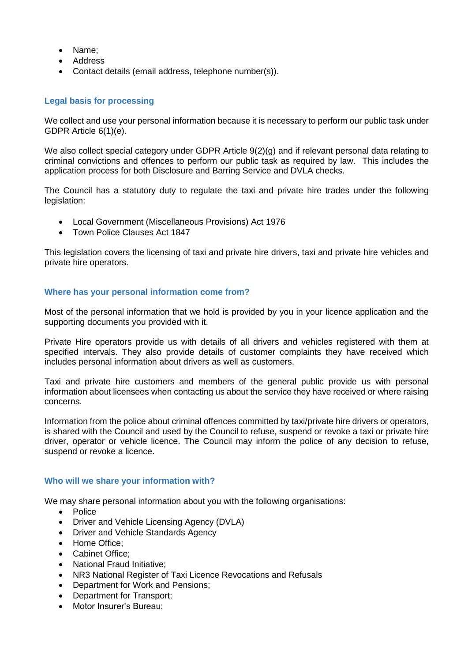- Name;
- Address
- Contact details (email address, telephone number(s)).

## **Legal basis for processing**

We collect and use your personal information because it is necessary to perform our public task under GDPR Article 6(1)(e).

We also collect special category under GDPR Article 9(2)(g) and if relevant personal data relating to criminal convictions and offences to perform our public task as required by law. This includes the application process for both Disclosure and Barring Service and DVLA checks.

The Council has a statutory duty to regulate the taxi and private hire trades under the following legislation:

- Local Government (Miscellaneous Provisions) Act 1976
- Town Police Clauses Act 1847

This legislation covers the licensing of taxi and private hire drivers, taxi and private hire vehicles and private hire operators.

## **Where has your personal information come from?**

Most of the personal information that we hold is provided by you in your licence application and the supporting documents you provided with it.

Private Hire operators provide us with details of all drivers and vehicles registered with them at specified intervals. They also provide details of customer complaints they have received which includes personal information about drivers as well as customers.

Taxi and private hire customers and members of the general public provide us with personal information about licensees when contacting us about the service they have received or where raising concerns.

Information from the police about criminal offences committed by taxi/private hire drivers or operators, is shared with the Council and used by the Council to refuse, suspend or revoke a taxi or private hire driver, operator or vehicle licence. The Council may inform the police of any decision to refuse, suspend or revoke a licence.

## **Who will we share your information with?**

We may share personal information about you with the following organisations:

- Police
- Driver and Vehicle Licensing Agency (DVLA)
- Driver and Vehicle Standards Agency
- Home Office:
- Cabinet Office;
- National Fraud Initiative;
- NR3 National Register of Taxi Licence Revocations and Refusals
- Department for Work and Pensions;
- Department for Transport;
- Motor Insurer's Bureau;